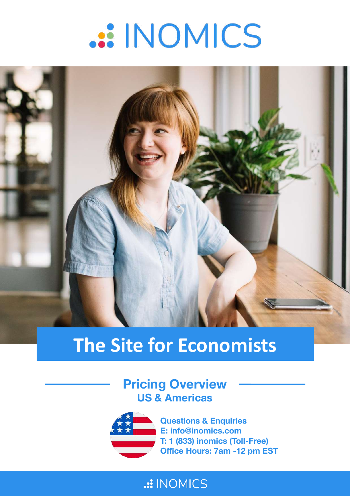# .:: INOMICS



## **The Site for Economists**

**Pricing Overview US & Americas**



**Questions & Enquiries E: info@inomics.com T: 1 (833) inomics (Toll-Free) Office Hours: 7am -12 pm EST** 

#### .: INOMICS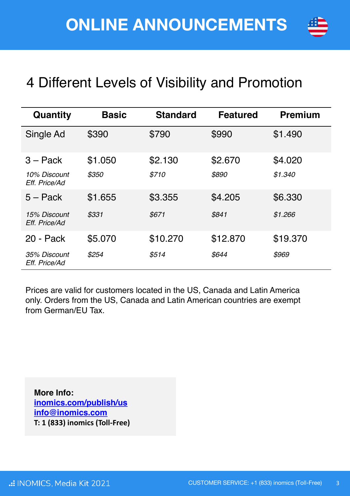

### 4 Different Levels of Visibility and Promotion

| Quantity                      | <b>Basic</b> | <b>Standard</b> | <b>Featured</b> | <b>Premium</b> |
|-------------------------------|--------------|-----------------|-----------------|----------------|
| Single Ad                     | \$390        | \$790           | \$990           | \$1.490        |
| $3 - Pack$                    | \$1.050      | \$2.130         | \$2.670         | \$4.020        |
| 10% Discount<br>Eff. Price/Ad | \$350        | \$710           | \$890           | \$1.340        |
| $5 -$ Pack                    | \$1.655      | \$3.355         | \$4.205         | \$6.330        |
| 15% Discount<br>Eff. Price/Ad | \$331        | \$671           | \$841           | \$1.266        |
| 20 - Pack                     | \$5.070      | \$10.270        | \$12.870        | \$19.370       |
| 35% Discount<br>Eff. Price/Ad | \$254        | \$514           | \$644           | \$969          |

Prices are valid for customers located in the US, Canada and Latin America only. Orders from the US, Canada and Latin American countries are exempt from German/EU Tax.

**More Info: [inomics.com/publish/us](mailto:info@11academianetworks.com) [info@inomics.com](mailto:info@11academianetworks.com) T: 1 (833) inomics (Toll-Free)**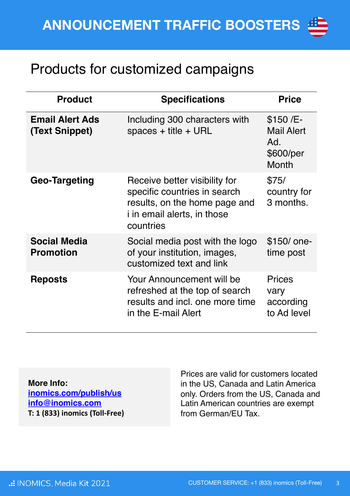#### Products for customized campaigns

| <b>Product</b>                           | <b>Specifications</b>                                                                                                                             | <b>Price</b>                                                       |
|------------------------------------------|---------------------------------------------------------------------------------------------------------------------------------------------------|--------------------------------------------------------------------|
| <b>Email Alert Ads</b><br>(Text Snippet) | Including 300 characters with<br>spaces $+$ title $+$ URL                                                                                         | \$150 /E-<br><b>Mail Alert</b><br>Ad.<br>\$600/per<br><b>Month</b> |
| Geo-Targeting                            | Receive better visibility for<br>specific countries in search<br>results, on the home page and<br><i>i</i> in email alerts, in those<br>countries | \$75/<br>country for<br>3 months.                                  |
| <b>Social Media</b><br><b>Promotion</b>  | Social media post with the logo<br>of your institution, images,<br>customized text and link                                                       | \$150/ one-<br>time post                                           |
| <b>Reposts</b>                           | Your Announcement will be<br>refreshed at the top of search<br>results and incl. one more time<br>in the E-mail Alert                             | <b>Prices</b><br>vary<br>according<br>to Ad level                  |

**More Info: [inomics.com/publish/us](mailto:info@11academianetworks.com) [info@inomics.com](mailto:info@11academianetworks.com) T: 1 (833) inomics (Toll-Free)**

Prices are valid for customers located in the US, Canada and Latin America only. Orders from the US, Canada and Latin American countries are exempt from German/EU Tax.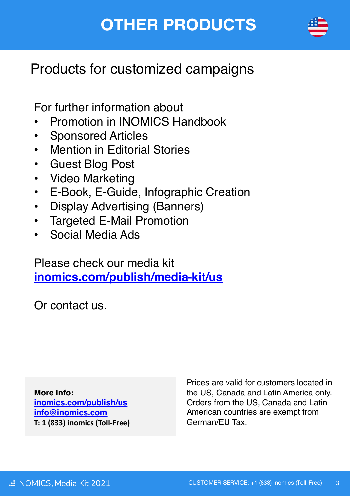### **OTHER PRODUCTS**



#### Products for customized campaigns

For further information about

- Promotion in INOMICS Handbook
- Sponsored Articles
- Mention in Editorial Stories
- Guest Blog Post
- Video Marketing
- E-Book, E-Guide, Infographic Creation
- Display Advertising (Banners)
- Targeted E-Mail Promotion
- Social Media Ads

Please check our media kit **[inomics.com/publish/media-kit/us](https://inomics.com/publish/media-kit/us)**

Or contact us.

**More Info: [inomics.com/publish/us](mailto:info@11academianetworks.com) [info@inomics.com](mailto:info@11academianetworks.com) T: 1 (833) inomics (Toll-Free)**

Prices are valid for customers located in the US, Canada and Latin America only. Orders from the US, Canada and Latin American countries are exempt from German/EU Tax.